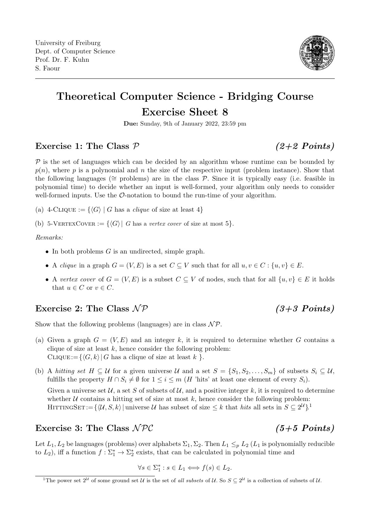

# Theoretical Computer Science - Bridging Course Exercise Sheet 8

Due: Sunday, 9th of January 2022, 23:59 pm

## Exercise 1: The Class  $P$  (2+2 Points)

 $\mathcal P$  is the set of languages which can be decided by an algorithm whose runtime can be bounded by  $p(n)$ , where p is a polynomial and n the size of the respective input (problem instance). Show that the following languages ( $\cong$  problems) are in the class P. Since it is typically easy (i.e. feasible in polynomial time) to decide whether an input is well-formed, your algorithm only needs to consider well-formed inputs. Use the  $\mathcal{O}\text{-notation}$  to bound the run-time of your algorithm.

- (a) 4-CLIQUE :=  $\{\langle G \rangle | G$  has a *clique* of size at least 4}
- (b) 5-VERTEXCOVER :=  $\{\langle G \rangle | G$  has a vertex cover of size at most 5.

### Remarks:

- In both problems  $G$  is an undirected, simple graph.
- A clique in a graph  $G = (V, E)$  is a set  $C \subseteq V$  such that for all  $u, v \in C : \{u, v\} \in E$ .
- A vertex cover of  $G = (V, E)$  is a subset  $C \subseteq V$  of nodes, such that for all  $\{u, v\} \in E$  it holds that  $u \in C$  or  $v \in C$ .

# Exercise 2: The Class  $\mathcal{NP}$  (3+3 Points)

Show that the following problems (languages) are in class  $\mathcal{NP}$ .

- (a) Given a graph  $G = (V, E)$  and an integer k, it is required to determine whether G contains a clique of size at least  $k$ , hence consider the following problem: CLIQUE:= $\{\langle G, k \rangle | G$  has a clique of size at least k }.
- (b) A hitting set  $H \subseteq U$  for a given universe U and a set  $S = \{S_1, S_2, \ldots, S_m\}$  of subsets  $S_i \subseteq U$ , fulfills the property  $H \cap S_i \neq \emptyset$  for  $1 \leq i \leq m$  (H 'hits' at least one element of every  $S_i$ ). Given a universe set  $\mathcal{U}$ , a set S of subsets of  $\mathcal{U}$ , and a positive integer k, it is required to determine whether  $U$  contains a hitting set of size at most k, hence consider the following problem: HITTINGSET:= $\{ \langle \mathcal{U}, S, k \rangle |$  universe U has subset of size  $\leq k$  that hits all sets in  $S \subseteq 2^{\mathcal{U}}\}$ <sup>[1](#page-0-0)</sup>

# Exercise 3: The Class  $\mathcal{NPC}$  (5+5 Points)

Let  $L_1, L_2$  be languages (problems) over alphabets  $\Sigma_1, \Sigma_2$ . Then  $L_1 \leq_p L_2$  ( $L_1$  is polynomially reducible to  $L_2$ ), iff a function  $f: \Sigma_1^* \to \Sigma_2^*$  exists, that can be calculated in polynomial time and

$$
\forall s \in \Sigma_1^* : s \in L_1 \Longleftrightarrow f(s) \in L_2.
$$

<span id="page-0-0"></span><sup>&</sup>lt;sup>1</sup>The power set  $2^U$  of some ground set U is the set of all subsets of U. So  $S \subseteq 2^U$  is a collection of subsets of U.